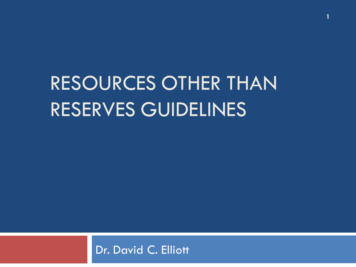# RESOURCES OTHER THAN RESERVES GUIDELINES

**1**

#### Dr. David C. Elliott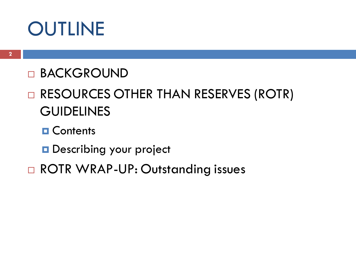#### **OUTLINE**

#### **D BACKGROUND**

#### □ RESOURCES OTHER THAN RESERVES (ROTR) **GUIDELINES**

#### **O** Contents

#### **Describing your project**

#### □ ROTR WRAP-UP: Outstanding issues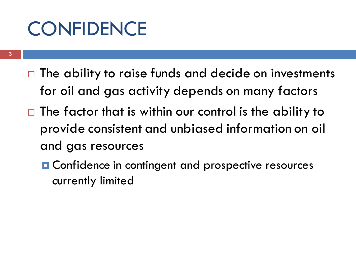## **CONFIDENCE**

- $\Box$  The ability to raise funds and decide on investments for oil and gas activity depends on many factors
- $\Box$  The factor that is within our control is the ability to provide consistent and unbiased information on oil and gas resources
	- **O** Confidence in contingent and prospective resources currently limited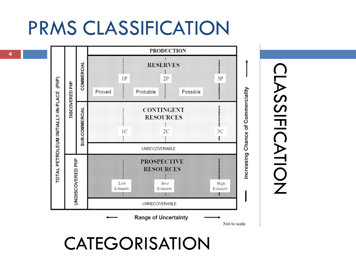#### PRMS CLASSIFICATION



CLASSIFICATION **LASSIFICATION** 

#### **CATEGORISATION**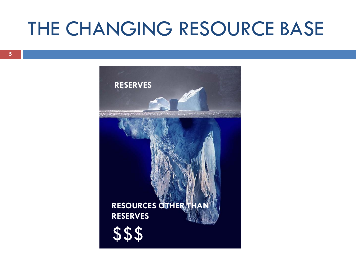#### THE CHANGING RESOURCE BASE

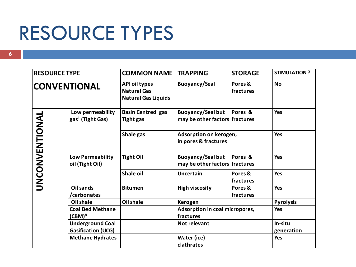#### RESOURCE TYPES

| <b>RESOURCE TYPE</b> |                                                      | <b>COMMON NAME TRAPPING</b>                                              |                                                            | <b>STORAGE</b>       | <b>STIMULATION ?</b>  |
|----------------------|------------------------------------------------------|--------------------------------------------------------------------------|------------------------------------------------------------|----------------------|-----------------------|
| <b>CONVENTIONAL</b>  |                                                      | <b>API oil types</b><br><b>Natural Gas</b><br><b>Natural Gas Liquids</b> | <b>Buoyancy/Seal</b>                                       | Pores &<br>fractures | <b>No</b>             |
|                      | Low permeability<br>gas <sup>1</sup> (Tight Gas)     | <b>Basin Centred gas</b><br><b>Tight gas</b>                             | <b>Buoyancy/Seal but</b><br>may be other factors fractures | Pores &              | <b>Yes</b>            |
| UNCONVENTIONAL       |                                                      | Shale gas                                                                | Adsorption on kerogen,<br>in pores & fractures             |                      | <b>Yes</b>            |
|                      | <b>Low Permeability</b><br>oil (Tight Oil)           | <b>Tight Oil</b>                                                         | <b>Buoyancy/Seal but</b><br>may be other factors fractures | Pores &              | Yes                   |
|                      |                                                      | <b>Shale oil</b>                                                         | <b>Uncertain</b>                                           | Pores &<br>fractures | <b>Yes</b>            |
|                      | <b>Oil sands</b><br>/carbonates                      | <b>Bitumen</b>                                                           | <b>High viscosity</b>                                      | Pores &<br>fractures | <b>Yes</b>            |
|                      | Oil shale                                            | <b>Oil shale</b>                                                         | Kerogen                                                    |                      | <b>Pyrolysis</b>      |
|                      | <b>Coal Bed Methane</b><br>$(CBM)^8$                 |                                                                          | Adsorption in coal micropores,<br>fractures                |                      | <b>Yes</b>            |
|                      | <b>Underground Coal</b><br><b>Gasification (UCG)</b> |                                                                          | <b>Not relevant</b>                                        |                      | In-situ<br>generation |
|                      | <b>Methane Hydrates</b>                              |                                                                          | Water (ice)<br>clathrates                                  |                      | Yes                   |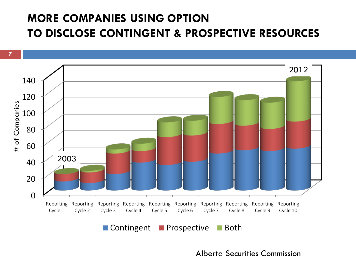#### **MORE COMPANIES USING OPTION TO DISCLOSE CONTINGENT & PROSPECTIVE RESOURCES**



Alberta Securities Commission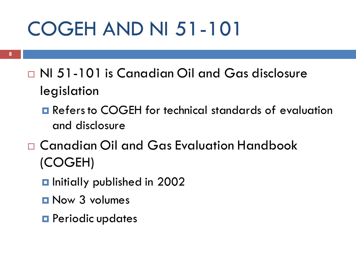# COGEH AND NI 51-101

- NI 51-101 is Canadian Oil and Gas disclosure legislation
	- **Refers to COGEH for technical standards of evaluation** and disclosure
- Canadian Oil and Gas Evaluation Handbook (COGEH)
	- $\blacksquare$  Initially published in 2002
	- Now 3 volumes
	- **O** Periodic updates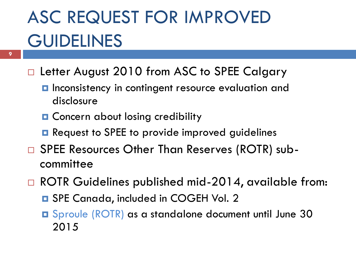## ASC REQUEST FOR IMPROVED **GUIDELINES**

- □ Letter August 2010 from ASC to SPEE Calgary
	- **Inconsistency in contingent resource evaluation and** disclosure
	- **Q** Concern about losing credibility
	- **Request to SPEE to provide improved guidelines**
- □ SPEE Resources Other Than Reserves (ROTR) subcommittee
- □ ROTR Guidelines published mid-2014, available from:
	- **□** SPE Canada, included in COGEH Vol. 2
	- Sproule (ROTR) as a standalone document until June 30 2015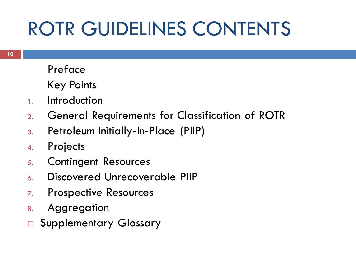# ROTR GUIDELINES CONTENTS

Preface

Key Points

- 1. Introduction
- 2. General Requirements for Classification of ROTR
- 3. Petroleum Initially-In-Place (PIIP)
- 4. Projects
- 5. Contingent Resources
- 6. Discovered Unrecoverable PIIP
- 7. Prospective Resources
- 8. Aggregation
- □ Supplementary Glossary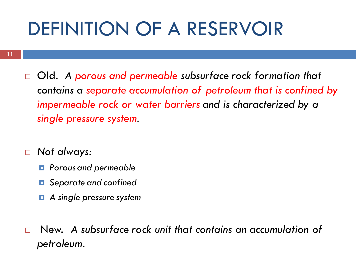### DEFINITION OF A RESERVOIR

- Old. *A porous and permeable subsurface rock formation that contains a separate accumulation of petroleum that is confined by impermeable rock or water barriers and is characterized by a single pressure system.*
- *Not always:*
	- *Porous and permeable*
	- *Separate and confined*
	- *A single pressure system*
- New. *A subsurface rock unit that contains an accumulation of petroleum.*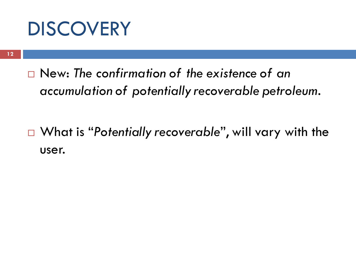#### **DISCOVERY**

 New: *The confirmation of the existence of an accumulation of potentially recoverable petroleum.*

 What is "*Potentially recoverable*", will vary with the user.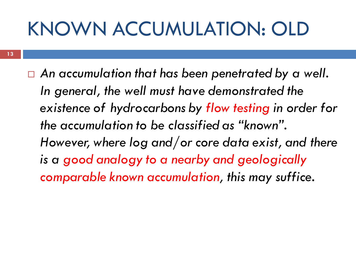# KNOWN ACCUMULATION: OLD

 *An accumulation that has been penetrated by a well. In general, the well must have demonstrated the existence of hydrocarbons by flow testing in order for the accumulation to be classified as "known". However, where log and/or core data exist, and there is a good analogy to a nearby and geologically comparable known accumulation, this may suffice.*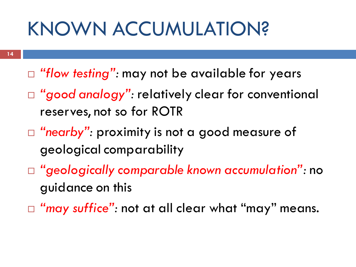## KNOWN ACCUMULATION?

- □ "flow testing": may not be available for years
- *"good analogy":* relatively clear for conventional reserves, not so for ROTR
- □ "nearby": proximity is not a good measure of geological comparability
- *"geologically comparable known accumulation":* no guidance on this
- *"may suffice":* not at all clear what "may" means.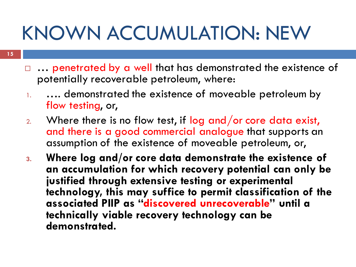# KNOWN ACCUMULATION: NEW

- □ ... penetrated by a well that has demonstrated the existence of potentially recoverable petroleum, where:
- 1. …. demonstrated the existence of moveable petroleum by flow testing, or,
- $2.$  Where there is no flow test, if log and/or core data exist, and there is a good commercial analogue that supports an assumption of the existence of moveable petroleum, or,
- **3. Where log and/or core data demonstrate the existence of an accumulation for which recovery potential can only be justified through extensive testing or experimental technology, this may suffice to permit classification of the associated PIIP as "discovered unrecoverable" until a technically viable recovery technology can be demonstrated.**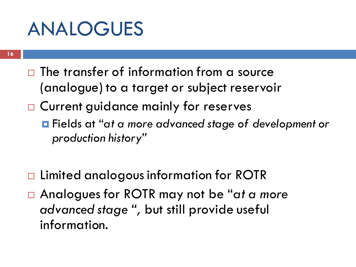#### ANALOGUES

- $\Box$  The transfer of information from a source (analogue) to a target or subject reservoir
- □ Current guidance mainly for reserves
	- Fields at "*at a more advanced stage of development or production history"*
- □ Limited analogous information for ROTR
- Analogues for ROTR may not be "*at a more advanced stage ",* but still provide useful information.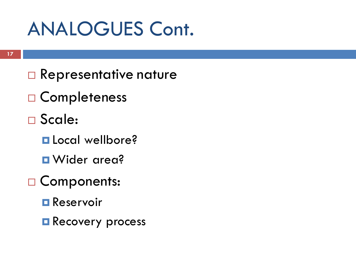#### ANALOGUES Cont.

- □ Representative nature
- □ Completeness
- Scale:
	- **L** Local wellbore?
	- **D** Wider area?
- □ Components:
	- **Reservoir**
	- **Recovery process**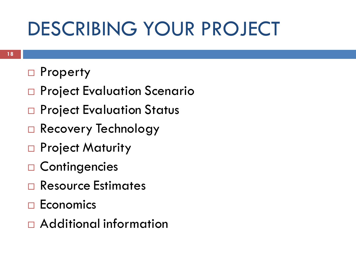### DESCRIBING YOUR PROJECT

- □ Property
- □ Project Evaluation Scenario
- □ Project Evaluation Status
- Recovery Technology
- □ Project Maturity
- □ Contingencies
- Resource Estimates
- $\Box$  Economics
- Additional information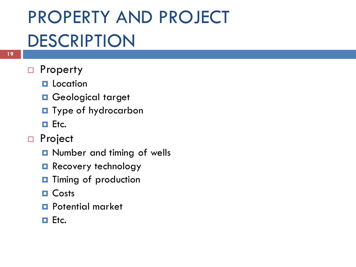### PROPERTY AND PROJECT **DESCRIPTION**

#### □ Property

- **Location**
- **O** Geological target
- **T** Type of hydrocarbon
- $E$ tc.
- □ Project
	- **Q** Number and timing of wells
	- **Recovery technology**
	- $\blacksquare$  Timing of production
	- **O** Costs
	- **Potential market**
	- $\Box$  Etc.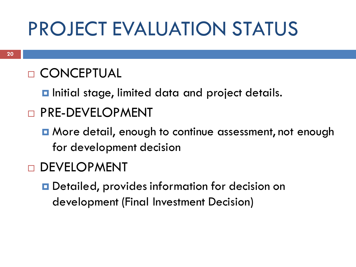### PROJECT EVALUATION STATUS

#### **D CONCEPTUAL**

 $\blacksquare$  Initial stage, limited data and project details.

#### **D** PRE-DEVELOPMENT

**n** More detail, enough to continue assessment, not enough for development decision

#### DEVELOPMENT

**D** Detailed, provides information for decision on development (Final Investment Decision)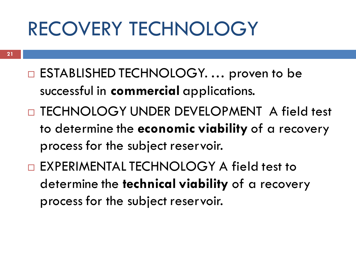### RECOVERY TECHNOLOGY

- □ ESTABLISHED TECHNOLOGY. ... proven to be successful in **commercial** applications.
- □ TECHNOLOGY UNDER DEVELOPMENT A field test to determine the **economic viability** of a recovery process for the subject reservoir.
- EXPERIMENTAL TECHNOLOGY A field test to determine the **technical viability** of a recovery process for the subject reservoir.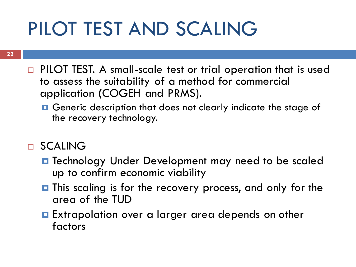# PILOT TEST AND SCALING

- □ PILOT TEST. A small-scale test or trial operation that is used to assess the suitability of a method for commercial application **(**COGEH and PRMS).
	- **O** Generic description that does not clearly indicate the stage of the recovery technology.
- SCALING
	- **O** Technology Under Development may need to be scaled up to confirm economic viability
	- $\blacksquare$  This scaling is for the recovery process, and only for the area of the TUD
	- **Extrapolation over a larger area depends on other** factors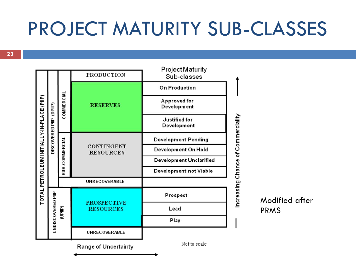### PROJECT MATURITY SUB-CLASSES



Modified after PRMS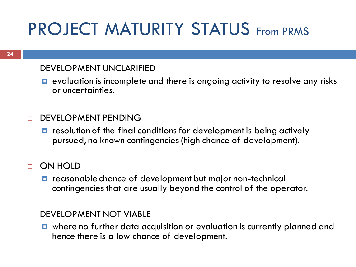#### PROJECT MATURITY STATUS From PRMS

#### **NEWELOPMENT UNCLARIFIED**

- $\Box$  evaluation is incomplete and there is ongoing activity to resolve any risks or uncertainties.
- n DEVELOPMENT PENDING
	- $\blacksquare$  resolution of the final conditions for development is being actively pursued, no known contingencies (high chance of development).
- ON HOLD
	- $\blacksquare$  reasonable chance of development but major non-technical contingencies that are usually beyond the control of the operator.
- **DEVELOPMENT NOT VIABLE** 
	- where no further data acquisition or evaluation is currently planned and hence there is a low chance of development.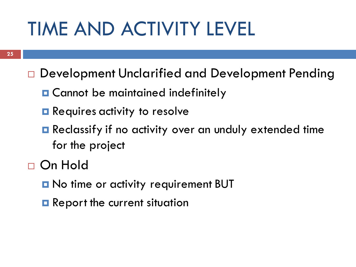# TIME AND ACTIVITY LEVEL

- □ Development Unclarified and Development Pending
	- **O** Cannot be maintained indefinitely
	- **Requires activity to resolve**
	- **Reclassify if no activity over an unduly extended time** for the project
- On Hold
	- **D** No time or activity requirement BUT
	- **Report the current situation**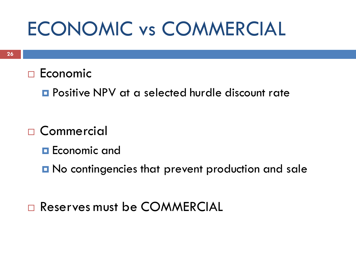### ECONOMIC vs COMMERCIAL

- $\Box$  Economic
	- **Positive NPV at a selected hurdle discount rate**
- □ Commercial
	- **Economic and**
	- **No contingencies that prevent production and sale**
- Reserves must be COMMERCIAL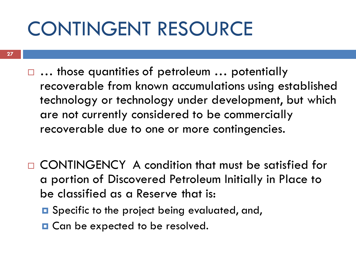# CONTINGENT RESOURCE

- **27**
- *…* those quantities of petroleum … potentially recoverable from known accumulations using established technology or technology under development, but which are not currently considered to be commercially recoverable due to one or more contingencies.
- □ CONTINGENCY A condition that must be satisfied for a portion of Discovered Petroleum Initially in Place to be classified as a Reserve that is:
	- **□** Specific to the project being evaluated, and,
	- **□** Can be expected to be resolved.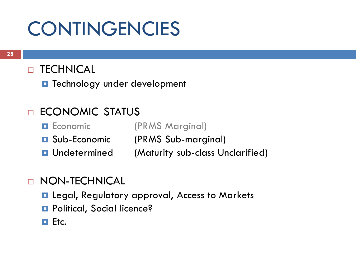## **CONTINGENCIES**

#### D TECHNICAL

 $\blacksquare$  Technology under development

#### ECONOMIC STATUS

- **Expression Economic** (PRMS Marginal)
- **□** Sub-Economic (PRMS Sub-marginal)
- **Q** Undetermined (Maturity sub-class Unclarified)

#### NON-TECHNICAL

- **E** Legal, Regulatory approval, Access to Markets
- **Political, Social licence?**
- $\Box$  Etc.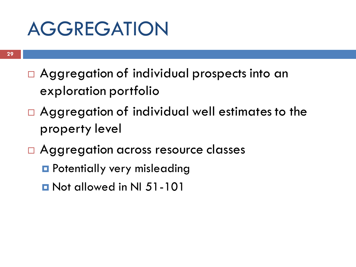#### AGGREGATION

- □ Aggregation of individual prospects into an exploration portfolio
- □ Aggregation of individual well estimates to the property level
- □ Aggregation across resource classes
	- **P** Potentially very misleading
	- **D** Not allowed in NI 51-101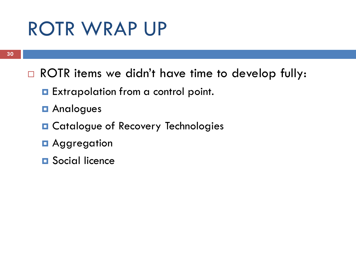#### ROTR WRAP UP

- □ ROTR items we didn't have time to develop fully:
	- **Extrapolation from a control point.**
	- **D** Analogues
	- **O** Catalogue of Recovery Technologies
	- **D** Aggregation
	- **D** Social licence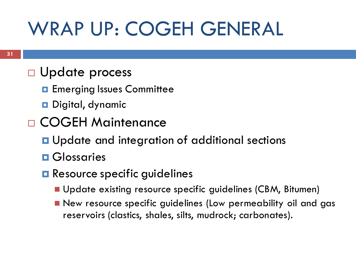# WRAP UP: COGEH GENERAL

#### □ Update process

- **Exerging Issues Committee**
- **Digital, dynamic**
- COGEH Maintenance
	- **u** Update and integration of additional sections
	- **O** Glossaries
	- **Resource specific guidelines** 
		- **Update existing resource specific guidelines (CBM, Bitumen)**
		- New resource specific guidelines (Low permeability oil and gas reservoirs (clastics, shales, silts, mudrock; carbonates).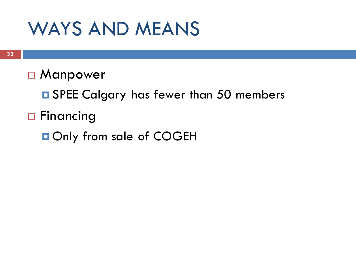#### WAYS AND MEANS

#### □ Manpower

- **O** SPEE Calgary has fewer than 50 members
- □ Financing
	- **Only from sale of COGEH**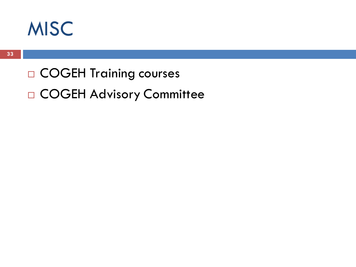

□ COGEH Training courses COGEH Advisory Committee